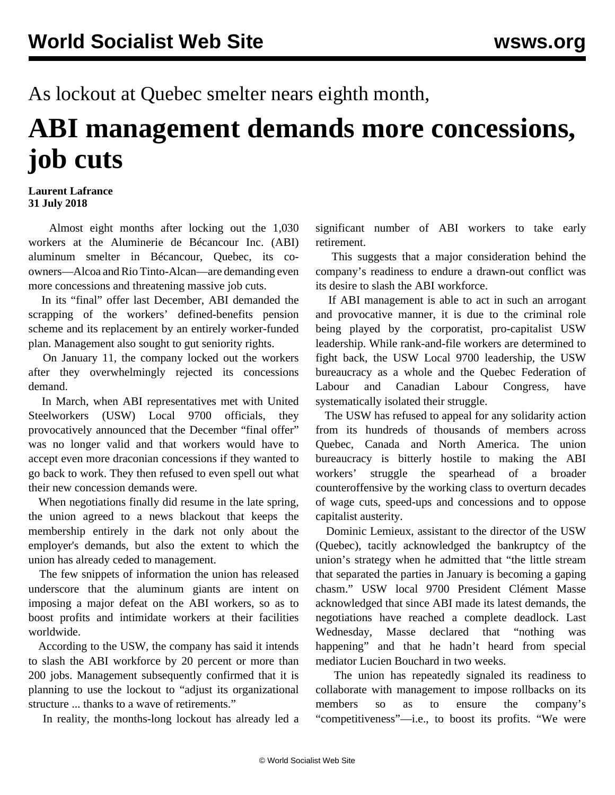As lockout at Quebec smelter nears eighth month,

## **ABI management demands more concessions, job cuts**

**Laurent Lafrance 31 July 2018**

 Almost eight months after locking out the 1,030 workers at the Aluminerie de Bécancour Inc. (ABI) aluminum smelter in Bécancour, Quebec, its coowners—Alcoa and Rio Tinto-Alcan—are demanding even more concessions and threatening massive job cuts.

 In its "final" offer last December, ABI demanded the scrapping of the workers' defined-benefits pension scheme and its replacement by an entirely worker-funded plan. Management also sought to gut seniority rights.

 On January 11, the company locked out the workers after they overwhelmingly rejected its concessions demand.

 In March, when ABI representatives met with United Steelworkers (USW) Local 9700 officials, they provocatively announced that the December "final offer" was no longer valid and that workers would have to accept even more draconian concessions if they wanted to go back to work. They then refused to even spell out what their new concession demands were.

 When negotiations finally did resume in the late spring, the union agreed to a news blackout that keeps the membership entirely in the dark not only about the employer's demands, but also the extent to which the union has already ceded to management.

 The few snippets of information the union has released underscore that the aluminum giants are intent on imposing a major defeat on the ABI workers, so as to boost profits and intimidate workers at their facilities worldwide.

 According to the USW, the company has said it intends to slash the ABI workforce by 20 percent or more than 200 jobs. Management subsequently confirmed that it is planning to use the lockout to "adjust its organizational structure ... thanks to a wave of retirements."

In reality, the months-long lockout has already led a

significant number of ABI workers to take early retirement.

 This suggests that a major consideration behind the company's readiness to endure a drawn-out conflict was its desire to slash the ABI workforce.

 If ABI management is able to act in such an arrogant and provocative manner, it is due to the criminal role being played by the corporatist, pro-capitalist USW leadership. While rank-and-file workers are determined to fight back, the USW Local 9700 leadership, the USW bureaucracy as a whole and the Quebec Federation of Labour and Canadian Labour Congress, have systematically isolated their struggle.

 The USW has refused to appeal for any solidarity action from its hundreds of thousands of members across Quebec, Canada and North America. The union bureaucracy is bitterly hostile to making the ABI workers' struggle the spearhead of a broader counteroffensive by the working class to overturn decades of wage cuts, speed-ups and concessions and to oppose capitalist austerity.

 Dominic Lemieux, assistant to the director of the USW (Quebec), tacitly acknowledged the bankruptcy of the union's strategy when he admitted that "the little stream that separated the parties in January is becoming a gaping chasm." USW local 9700 President Clément Masse acknowledged that since ABI made its latest demands, the negotiations have reached a complete deadlock. Last Wednesday, Masse declared that "nothing was happening" and that he hadn't heard from special mediator Lucien Bouchard in two weeks.

 The union has repeatedly signaled its readiness to collaborate with management to impose rollbacks on its members so as to ensure the company's "competitiveness"—i.e., to boost its profits. "We were